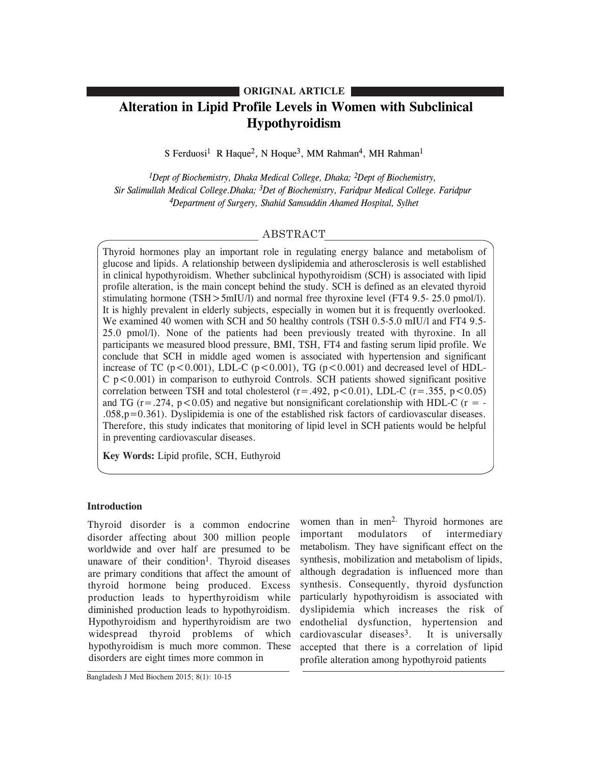# **ORIGINAL ARTICLE**

# **Alteration in Lipid Profile Levels in Women with Subclinical Hypothyroidism**

S Ferduosi<sup>1</sup> R Haque<sup>2</sup>, N Hoque<sup>3</sup>, MM Rahman<sup>4</sup>, MH Rahman<sup>1</sup>

*1Dept of Biochemistry, Dhaka Medical College, Dhaka; 2Dept of Biochemistry, Sir Salimullah Medical College.Dhaka; 3Det of Biochemistry, Faridpur Medical College. Faridpur 4Department of Surgery, Shahid Samsuddin Ahamed Hospital, Sylhet*

# ABSTRACT

Thyroid hormones play an important role in regulating energy balance and metabolism of glucose and lipids. A relationship between dyslipidemia and atherosclerosis is well established in clinical hypothyroidism. Whether subclinical hypothyroidism (SCH) is associated with lipid profile alteration, is the main concept behind the study. SCH is defined as an elevated thyroid stimulating hormone (TSH>5mIU/l) and normal free thyroxine level (FT4 9.5- 25.0 pmol/l). It is highly prevalent in elderly subjects, especially in women but it is frequently overlooked. We examined 40 women with SCH and 50 healthy controls (TSH 0.5-5.0 mIU/l and FT4 9.5-25.0 pmol/l). None of the patients had been previously treated with thyroxine. In all participants we measured blood pressure, BMI, TSH, FT4 and fasting serum lipid profile. We conclude that SCH in middle aged women is associated with hypertension and significant increase of TC ( $p < 0.001$ ), LDL-C ( $p < 0.001$ ), TG ( $p < 0.001$ ) and decreased level of HDL- $C$  p $\lt$ 0.001) in comparison to euthyroid Controls. SCH patients showed significant positive correlation between TSH and total cholesterol ( $r = .492$ ,  $p < 0.01$ ), LDL-C ( $r = .355$ ,  $p < 0.05$ ) and TG ( $r = 0.274$ ,  $p < 0.05$ ) and negative but nonsignificant corelationship with HDL-C ( $r = -1$  $.058, p=0.361$ . Dyslipidemia is one of the established risk factors of cardiovascular diseases. Therefore, this study indicates that monitoring of lipid level in SCH patients would be helpful in preventing cardiovascular diseases.

**Key Words:** Lipid profile, SCH, Euthyroid

## **Introduction**

Thyroid disorder is a common endocrine disorder affecting about 300 million people worldwide and over half are presumed to be unaware of their condition<sup>1</sup>. Thyroid diseases are primary conditions that affect the amount of thyroid hormone being produced. Excess production leads to hyperthyroidism while diminished production leads to hypothyroidism. Hypothyroidism and hyperthyroidism are two widespread thyroid problems of which hypothyroidism is much more common. These disorders are eight times more common in

women than in men<sup>2.</sup> Thyroid hormones are important modulators of intermediary metabolism. They have significant effect on the synthesis, mobilization and metabolism of lipids, although degradation is influenced more than synthesis. Consequently, thyroid dysfunction particularly hypothyroidism is associated with dyslipidemia which increases the risk of endothelial dysfunction, hypertension and cardiovascular diseases<sup>3</sup>. It is universally accepted that there is a correlation of lipid profile alteration among hypothyroid patients

Bangladesh J Med Biochem 2015; 8(1): 10-15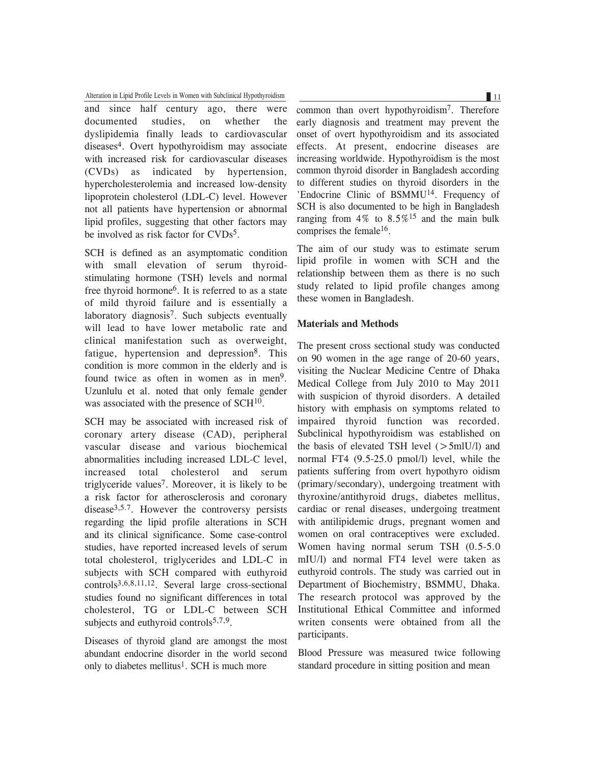Alteration in Lipid Profile Levels in Women with Subclinical Hypothyroidism 11 and 11 and 11 and 11 and 11 and 11 and 11 and 11 and 11 and 11 and 11 and 11 and 12 and 12 and 12 and 12 and 12 and 12 and 12 and 12 and 12 and

and since half century ago, there were documented studies, on whether the dyslipidemia finally leads to cardiovascular diseases4. Overt hypothyroidism may associate with increased risk for cardiovascular diseases (CVDs) as indicated by hypertension, hypercholesterolemia and increased low-density lipoprotein cholesterol (LDL-C) level. However not all patients have hypertension or abnormal lipid profiles, suggesting that other factors may be involved as risk factor for CVDs<sup>5</sup>.

SCH is defined as an asymptomatic condition with small elevation of serum thyroidstimulating hormone (TSH) levels and normal free thyroid hormone6. It is referred to as a state of mild thyroid failure and is essentially a laboratory diagnosis<sup>7</sup>. Such subjects eventually will lead to have lower metabolic rate and clinical manifestation such as overweight, fatigue, hypertension and depression<sup>8</sup>. This condition is more common in the elderly and is found twice as often in women as in men<sup>9</sup>. Uzunlulu et al. noted that only female gender was associated with the presence of SCH<sup>10</sup>.

SCH may be associated with increased risk of coronary artery disease (CAD), peripheral vascular disease and various biochemical abnormalities including increased LDL-C level, increased total cholesterol and serum triglyceride values7. Moreover, it is likely to be a risk factor for atherosclerosis and coronary disease3,5.7. However the controversy persists regarding the lipid profile alterations in SCH and its clinical significance. Some case-control studies, have reported increased levels of serum total cholesterol, triglycerides and LDL-C in subjects with SCH compared with euthyroid controls3,6,8,11,12. Several large cross-sectional studies found no significant differences in total cholesterol, TG or LDL-C between SCH subjects and euthyroid controls $5,7,9$ .

Diseases of thyroid gland are amongst the most abundant endocrine disorder in the world second only to diabetes mellitus<sup>1</sup>. SCH is much more

common than overt hypothyroidism7. Therefore early diagnosis and treatment may prevent the onset of overt hypothyroidism and its associated effects. At present, endocrine diseases are increasing worldwide. Hypothyroidism is the most common thyroid disorder in Bangladesh according to different studies on thyroid disorders in the 'Endocrine Clinic of BSMMU<sup>14</sup>. Frequency of SCH is also documented to be high in Bangladesh ranging from  $4\%$  to  $8.5\%$ <sup>15</sup> and the main bulk comprises the female<sup>16</sup>.

The aim of our study was to estimate serum lipid profile in women with SCH and the relationship between them as there is no such study related to lipid profile changes among these women in Bangladesh.

## **Materials and Methods**

The present cross sectional study was conducted on 90 women in the age range of 20-60 years, visiting the Nuclear Medicine Centre of Dhaka Medical College from July 2010 to May 2011 with suspicion of thyroid disorders. A detailed history with emphasis on symptoms related to impaired thyroid function was recorded. Subclinical hypothyroidism was established on the basis of elevated TSH level  $(>5$ mlU/l) and normal FT4 (9.5-25.0 pmol/l) level, while the patients suffering from overt hypothyro oidism (primary/secondary), undergoing treatment with thyroxine/antithyroid drugs, diabetes mellitus, cardiac or renal diseases, undergoing treatment with antilipidemic drugs, pregnant women and women on oral contraceptives were excluded. Women having normal serum TSH (0.5-5.0 mIU/l) and normal FT4 level were taken as euthyroid controls. The study was carried out in Department of Biochemistry, BSMMU, Dhaka. The research protocol was approved by the Institutional Ethical Committee and informed writen consents were obtained from all the participants.

Blood Pressure was measured twice following standard procedure in sitting position and mean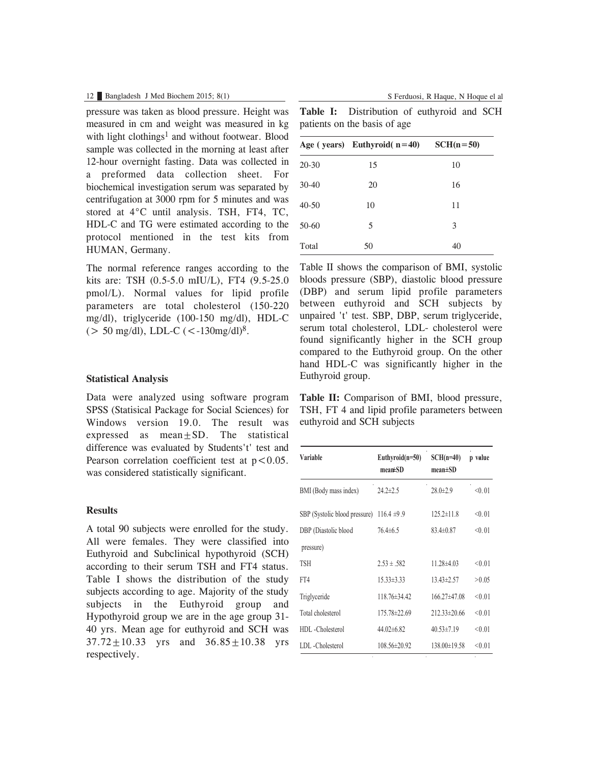## 12 Bangladesh J Med Biochem 2015; 8(1) S Ferduosi, R Haque, N Hoque el al

pressure was taken as blood pressure. Height was measured in cm and weight was measured in kg with light clothings<sup>1</sup> and without footwear. Blood sample was collected in the morning at least after 12-hour overnight fasting. Data was collected in a preformed data collection sheet. For biochemical investigation serum was separated by centrifugation at 3000 rpm for 5 minutes and was stored at 4°C until analysis. TSH, FT4, TC, HDL-C and TG were estimated according to the protocol mentioned in the test kits from HUMAN, Germany.

The normal reference ranges according to the kits are: TSH (0.5-5.0 mIU/L), FT4 (9.5-25.0 pmol/L). Normal values for lipid profile parameters are total cholesterol (150-220 mg/dl), triglyceride (100-150 mg/dl), HDL-C  $(> 50 \text{ mg/dl})$ , LDL-C  $(< -130 \text{ mg/dl})^8$ .

#### **Statistical Analysis**

Data were analyzed using software program SPSS (Statisical Package for Social Sciences) for Windows version 19.0. The result was expressed as  $mean + SD$ . The statistical difference was evaluated by Students't' test and Pearson correlation coefficient test at  $p < 0.05$ . was considered statistically significant.

#### **Results**

A total 90 subjects were enrolled for the study. All were females. They were classified into Euthyroid and Subclinical hypothyroid (SCH) according to their serum TSH and FT4 status. Table I shows the distribution of the study subjects according to age. Majority of the study subjects in the Euthyroid group and Hypothyroid group we are in the age group 31- 40 yrs. Mean age for euthyroid and SCH was  $37.72 \pm 10.33$  yrs and  $36.85 \pm 10.38$  yrs respectively.

**Table I:** Distribution of euthyroid and SCH patients on the basis of age

|           | Age (years) Euthyroid( $n=40$ ) | $SCH(n=50)$ |
|-----------|---------------------------------|-------------|
| $20 - 30$ | 15                              | 10          |
| $30-40$   | 20                              | 16          |
| $40 - 50$ | 10                              | 11          |
| $50-60$   | 5                               | 3           |
| Total     | 50                              | 40          |

Table II shows the comparison of BMI, systolic bloods pressure (SBP), diastolic blood pressure (DBP) and serum lipid profile parameters between euthyroid and SCH subjects by unpaired 't' test. SBP, DBP, serum triglyceride, serum total cholesterol, LDL- cholesterol were found significantly higher in the SCH group compared to the Euthyroid group. On the other hand HDL-C was significantly higher in the Euthyroid group.

**Table II:** Comparison of BMI, blood pressure, TSH, FT 4 and lipid profile parameters between euthyroid and SCH subjects

| Variable                          | Euthyroid $(n=50)$<br>$mean \pm SD$ | $SCH(n=40)$<br>$mean \pm SD$ | p value |
|-----------------------------------|-------------------------------------|------------------------------|---------|
| BMI (Body mass index)             | $24.2 \pm 2.5$                      | $28.0 \pm 2.9$               | < 0.01  |
| SBP (Systolic blood pressure)     | $116.4 \pm 9.9$                     | $125.2 \pm 11.8$             | < 0.01  |
| DBP (Diastolic blood<br>pressure) | $76.4 \pm 6.5$                      | $83.4\pm 0.87$               | < 0.01  |
| <b>TSH</b>                        | $2.53 \pm .582$                     | $11.28\pm4.03$               | < 0.01  |
| FT4                               | $15.33 \pm 3.33$                    | 13.43±2.57                   | >0.05   |
| Triglyceride                      | $118.76\pm34.42$                    | $166.27\pm47.08$             | < 0.01  |
| Total cholesterol                 | 175.78±22.69                        | $212.33 \pm 20.66$           | < 0.01  |
| HDL-Cholesterol                   | $44.02\pm6.82$                      | $40.53 \pm 7.19$             | < 0.01  |
| LDL - Cholesterol                 | $108.56 \pm 20.92$                  | 138.00±19.58                 | < 0.01  |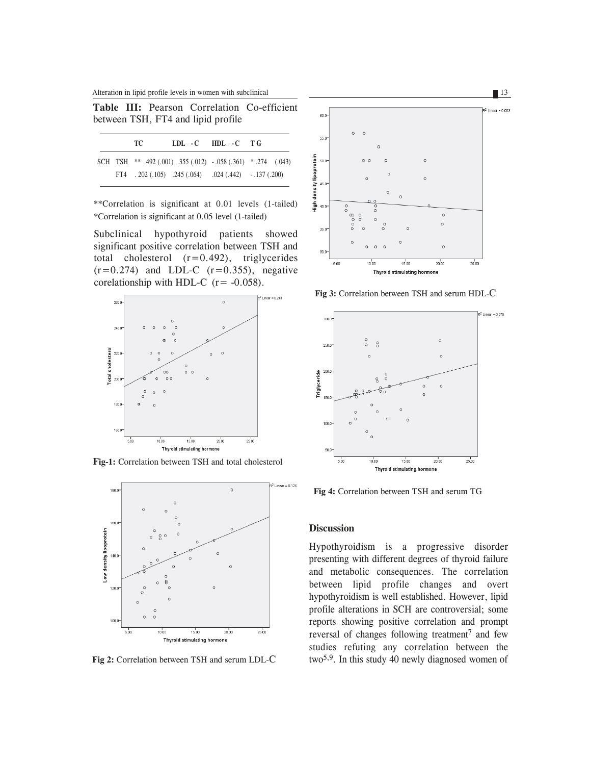Alteration in lipid profile levels in women with subclinical 13

**Table III:** Pearson Correlation Co-efficient between TSH, FT4 and lipid profile

|  | TC. |                                                              | LDL-C HDL-C TG |  |
|--|-----|--------------------------------------------------------------|----------------|--|
|  |     | SCH TSH ** .492 (.001) .355 (.012) -.058 (.361) *.274 (.043) |                |  |
|  |     | FT4 $.202(.105)$ $.245(.064)$ $.024(.442)$ $.137(.200)$      |                |  |

\*\*Correlation is significant at 0.01 levels (1-tailed) \*Correlation is significant at 0.05 level (1-tailed)

Subclinical hypothyroid patients showed significant positive correlation between TSH and total cholesterol  $(r=0.492)$ , triglycerides  $(r=0.274)$  and LDL-C  $(r=0.355)$ , negative corelationship with HDL-C  $(r = -0.058)$ .



**Fig-1:** Correlation between TSH and total cholesterol



**Fig 2:** Correlation between TSH and serum LDL-C



**Fig 3:** Correlation between TSH and serum HDL-C



**Fig 4:** Correlation between TSH and serum TG

## **Discussion**

Hypothyroidism is a progressive disorder presenting with different degrees of thyroid failure and metabolic consequences. The correlation between lipid profile changes and overt hypothyroidism is well established. However, lipid profile alterations in SCH are controversial; some reports showing positive correlation and prompt reversal of changes following treatment <sup>7</sup> and few studies refuting any correlation between the two5,9. In this study 40 newly diagnosed women of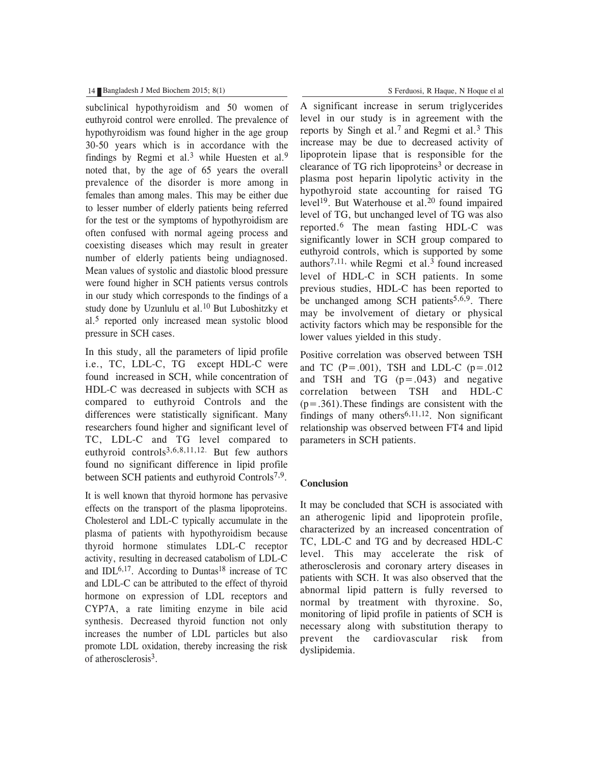#### 14 Bangladesh J Med Biochem 2015; 8(1) S Ferduosi, R Haque, N Hoque el al

subclinical hypothyroidism and 50 women of euthyroid control were enrolled. The prevalence of hypothyroidism was found higher in the age group 30-50 years which is in accordance with the findings by Regmi et al.<sup>3</sup> while Huesten et al.<sup>9</sup> noted that, by the age of 65 years the overall prevalence of the disorder is more among in females than among males. This may be either due to lesser number of elderly patients being referred for the test or the symptoms of hypothyroidism are often confused with normal ageing process and coexisting diseases which may result in greater number of elderly patients being undiagnosed. Mean values of systolic and diastolic blood pressure were found higher in SCH patients versus controls in our study which corresponds to the findings of a study done by Uzunlulu et al.<sup>10</sup> But Luboshitzky et al.<sup>5</sup> reported only increased mean systolic blood pressure in SCH cases.

In this study, all the parameters of lipid profile i.e., TC, LDL-C, TG except HDL-C were found increased in SCH, while concentration of HDL-C was decreased in subjects with SCH as compared to euthyroid Controls and the differences were statistically significant. Many researchers found higher and significant level of TC, LDL-C and TG level compared to euthyroid controls3,6,8,11,12. But few authors found no significant difference in lipid profile between SCH patients and euthyroid Controls<sup>7,9</sup>.

It is well known that thyroid hormone has pervasive effects on the transport of the plasma lipoproteins. Cholesterol and LDL-C typically accumulate in the plasma of patients with hypothyroidism because thyroid hormone stimulates LDL-C receptor activity, resulting in decreased catabolism of LDL-C and IDL $6,17$ . According to Duntas<sup>18</sup> increase of TC and LDL-C can be attributed to the effect of thyroid hormone on expression of LDL receptors and CYP7A, a rate limiting enzyme in bile acid synthesis. Decreased thyroid function not only increases the number of LDL particles but also promote LDL oxidation, thereby increasing the risk of atherosclerosis3.

A significant increase in serum triglycerides level in our study is in agreement with the reports by Singh et al.<sup>7</sup> and Regmi et al.<sup>3</sup> This increase may be due to decreased activity of lipoprotein lipase that is responsible for the clearance of TG rich lipoproteins<sup>3</sup> or decrease in plasma post heparin lipolytic activity in the hypothyroid state accounting for raised TG level<sup>19</sup>. But Waterhouse et al.<sup>20</sup> found impaired level of TG, but unchanged level of TG was also reported.6 The mean fasting HDL-C was significantly lower in SCH group compared to euthyroid controls, which is supported by some authors<sup>7,11,</sup> while Regmi et al.<sup>3</sup> found increased level of HDL-C in SCH patients. In some previous studies, HDL-C has been reported to be unchanged among SCH patients<sup>5,6,9</sup>. There may be involvement of dietary or physical activity factors which may be responsible for the lower values yielded in this study.

Positive correlation was observed between TSH and TC  $(P=.001)$ , TSH and LDL-C  $(p=.012)$ and TSH and TG  $(p=.043)$  and negative correlation between TSH and HDL-C  $(p=.361)$ . These findings are consistent with the findings of many others<sup>6,11,12</sup>. Non significant relationship was observed between FT4 and lipid parameters in SCH patients.

## **Conclusion**

It may be concluded that SCH is associated with an atherogenic lipid and lipoprotein profile, characterized by an increased concentration of TC, LDL-C and TG and by decreased HDL-C level. This may accelerate the risk of atherosclerosis and coronary artery diseases in patients with SCH. It was also observed that the abnormal lipid pattern is fully reversed to normal by treatment with thyroxine. So, monitoring of lipid profile in patients of SCH is necessary along with substitution therapy to prevent the cardiovascular risk from dyslipidemia.